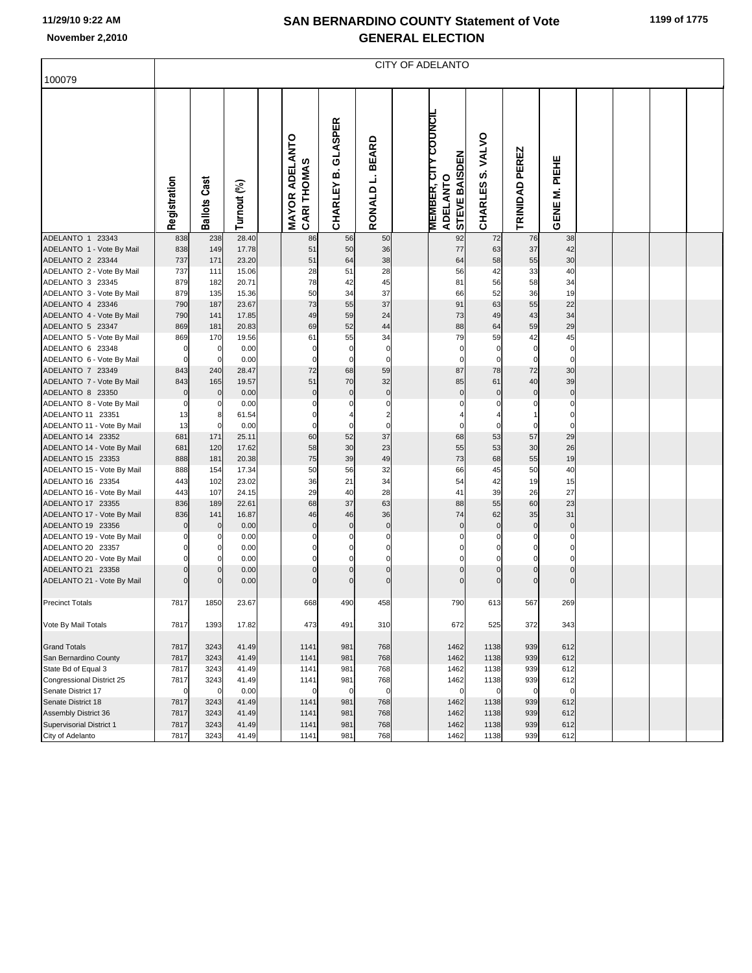## **SAN BERNARDINO COUNTY Statement of Vote November 2,2010 GENERAL ELECTION**

|                                                 | CITY OF ADELANTO   |                     |                |  |                                          |                          |                            |  |                                                                 |                                     |                   |                            |  |  |  |  |
|-------------------------------------------------|--------------------|---------------------|----------------|--|------------------------------------------|--------------------------|----------------------------|--|-----------------------------------------------------------------|-------------------------------------|-------------------|----------------------------|--|--|--|--|
| 100079                                          |                    |                     |                |  |                                          |                          |                            |  |                                                                 |                                     |                   |                            |  |  |  |  |
|                                                 | Registration       | <b>Ballots Cast</b> | Turnout (%)    |  | <b>MAYOR ADELANTO</b><br>n<br>CARI THOMA | GLASPER<br>CHARLEY B.    | <b>BEARD</b><br>RONALD L.  |  | <b>MEMBER, CITY COUNCIL</b><br>STEVE BAISDEN<br><b>ADELANTO</b> | <b>VALVO</b><br><u>ဟ</u><br>CHARLES | PEREZ<br>TRINIDAD | PIEHE<br>Ξ<br><b>GENE</b>  |  |  |  |  |
| ADELANTO 1 23343<br>ADELANTO 1 - Vote By Mail   | 838<br>838         | 238<br>149          | 28.40<br>17.78 |  | 86<br>51                                 | 56<br>50                 | 50<br>36                   |  | 92<br>77                                                        | 72<br>63                            | 76<br>37          | 38<br>42                   |  |  |  |  |
| ADELANTO 2 23344                                | 737                | 171                 | 23.20          |  | 51                                       | 64                       | 38                         |  | 64                                                              | 58                                  | 55                | 30                         |  |  |  |  |
| ADELANTO 2 - Vote By Mail                       | 737                | 111                 | 15.06          |  | 28                                       | 51                       | 28                         |  | 56                                                              | 42                                  | 33                | 40                         |  |  |  |  |
| ADELANTO 3 23345                                | 879                | 182                 | 20.71          |  | 78                                       | 42                       | 45                         |  | 81                                                              | 56                                  | 58                | 34                         |  |  |  |  |
| ADELANTO 3 - Vote By Mail                       | 879                | 135                 | 15.36          |  | 50                                       | 34                       | 37                         |  | 66                                                              | 52                                  | 36                | 19                         |  |  |  |  |
| ADELANTO 4 23346                                | 790                | 187                 | 23.67          |  | 73                                       | 55                       | 37                         |  | 91                                                              | 63                                  | 55                | 22                         |  |  |  |  |
| ADELANTO 4 - Vote By Mail                       | 790                | 141                 | 17.85          |  | 49                                       | 59                       | 24                         |  | 73                                                              | 49                                  | 43                | 34                         |  |  |  |  |
| ADELANTO 5 23347                                | 869                | 181                 | 20.83          |  | 69                                       | 52                       | 44                         |  | 88                                                              | 64                                  | 59                | 29                         |  |  |  |  |
| ADELANTO 5 - Vote By Mail                       | 869                | 170                 | 19.56          |  | 61                                       | 55                       | 34                         |  | 79                                                              | 59                                  | 42                | 45                         |  |  |  |  |
| ADELANTO 6 23348                                | 0                  | $\mathbf 0$         | 0.00           |  | 0<br>$\mathbf 0$                         | $\pmb{0}$<br>$\mathbf 0$ | $\mathbf 0$<br>$\mathbf 0$ |  | $\mathbf 0$<br>$\Omega$                                         | 0                                   | $\mathbf 0$       | $\mathbf 0$<br>$\mathbf 0$ |  |  |  |  |
| ADELANTO 6 - Vote By Mail<br>ADELANTO 7 23349   | $\mathbf 0$<br>843 | $\mathbf 0$<br>240  | 0.00<br>28.47  |  | 72                                       | 68                       | 59                         |  | 87                                                              | $\mathbf 0$<br>78                   | $\mathbf 0$<br>72 | 30                         |  |  |  |  |
| ADELANTO 7 - Vote By Mail                       | 843                | 165                 | 19.57          |  | 51                                       | 70                       | 32                         |  | 85                                                              | 61                                  | 40                | 39                         |  |  |  |  |
| ADELANTO 8 23350                                | $\mathbf 0$        | $\pmb{0}$           | 0.00           |  | $\mathbf 0$                              | $\mathbf 0$              | $\pmb{0}$                  |  | $\mathbf 0$                                                     | $\mathbf 0$                         | $\pmb{0}$         | $\pmb{0}$                  |  |  |  |  |
| ADELANTO 8 - Vote By Mail                       | 0                  | 0                   | 0.00           |  | 0                                        | 0                        | $\mathbf 0$                |  |                                                                 | 0                                   | 0                 | $\pmb{0}$                  |  |  |  |  |
| ADELANTO 11 23351                               | 13                 | 8                   | 61.54          |  | 0                                        | 4                        | $\overline{\mathbf{c}}$    |  |                                                                 |                                     |                   | $\mathbf 0$                |  |  |  |  |
| ADELANTO 11 - Vote By Mail                      | 13                 | $\mathbf 0$         | 0.00           |  | 0                                        | $\mathbf 0$              | $\mathbf 0$                |  | $\Omega$                                                        | $\Omega$                            | $\mathbf 0$       | $\mathbf 0$                |  |  |  |  |
| ADELANTO 14 23352                               | 681                | 171                 | 25.11          |  | 60                                       | 52                       | 37                         |  | 68                                                              | 53                                  | 57                | 29                         |  |  |  |  |
| ADELANTO 14 - Vote By Mail                      | 681                | 120                 | 17.62          |  | 58                                       | 30                       | 23                         |  | 55                                                              | 53                                  | 30                | 26                         |  |  |  |  |
| ADELANTO 15 23353                               | 888                | 181                 | 20.38          |  | 75                                       | 39                       | 49                         |  | 73                                                              | 68                                  | 55                | 19                         |  |  |  |  |
| ADELANTO 15 - Vote By Mail<br>ADELANTO 16 23354 | 888<br>443         | 154<br>102          | 17.34<br>23.02 |  | 50<br>36                                 | 56<br>21                 | 32<br>34                   |  | 66<br>54                                                        | 45<br>42                            | 50<br>19          | 40<br>15                   |  |  |  |  |
| ADELANTO 16 - Vote By Mail                      | 443                | 107                 | 24.15          |  | 29                                       | 40                       | 28                         |  | 41                                                              | 39                                  | 26                | 27                         |  |  |  |  |
| ADELANTO 17 23355                               | 836                | 189                 | 22.61          |  | 68                                       | 37                       | 63                         |  | 88                                                              | 55                                  | 60                | 23                         |  |  |  |  |
| ADELANTO 17 - Vote By Mail                      | 836                | 141                 | 16.87          |  | 46                                       | 46                       | 36                         |  | 74                                                              | 62                                  | 35                | 31                         |  |  |  |  |
| ADELANTO 19 23356                               | $\mathbf 0$        | $\pmb{0}$           | 0.00           |  | $\mathbf 0$                              | $\mathbf 0$              | $\pmb{0}$                  |  | $\mathbf 0$                                                     | $\mathbf 0$                         | $\pmb{0}$         | $\pmb{0}$                  |  |  |  |  |
| ADELANTO 19 - Vote By Mail                      | 0                  | 0                   | 0.00           |  | 0                                        | 0                        | $\mathbf 0$                |  | $\Omega$                                                        | 0                                   | 0                 | $\mathbf 0$                |  |  |  |  |
| ADELANTO 20 23357                               | $\mathbf 0$        | $\pmb{0}$           | 0.00           |  | 0                                        | $\mathbf 0$              | $\mathbf 0$                |  | $\Omega$                                                        |                                     | 0                 | 0                          |  |  |  |  |
| ADELANTO 20 - Vote By Mail                      | $\mathbf 0$        | $\mathbf 0$         | 0.00           |  | 0                                        | $\mathbf 0$              | $\mathbf 0$                |  | $\mathbf 0$                                                     | $\Omega$                            | 0                 | $\mathbf 0$                |  |  |  |  |
| ADELANTO 21 23358                               | $\mathbf 0$        | $\pmb{0}$           | 0.00           |  | $\mathbf 0$                              | $\mathbf 0$              | $\mathbf 0$                |  | $\mathbf 0$                                                     | $\Omega$                            | 0                 | $\pmb{0}$                  |  |  |  |  |
| ADELANTO 21 - Vote By Mail                      |                    | $\mathbf 0$         | 0.00           |  | $\mathbf 0$                              | $\mathbf 0$              | $\mathbf 0$                |  |                                                                 | $\Omega$                            | 0                 | $\mathbf 0$                |  |  |  |  |
| <b>Precinct Totals</b>                          | 7817               | 1850                | 23.67          |  | 668                                      | 490                      | 458                        |  | 790                                                             | 613                                 | 567               | 269                        |  |  |  |  |
| Vote By Mail Totals                             | 7817               | 1393                | 17.82          |  | 473                                      | 491                      | 310                        |  | 672                                                             | 525                                 | 372               | 343                        |  |  |  |  |
|                                                 |                    |                     |                |  |                                          |                          |                            |  |                                                                 |                                     |                   |                            |  |  |  |  |
| <b>Grand Totals</b>                             | 7817               | 3243                | 41.49          |  | 1141                                     | 981                      | 768                        |  | 1462                                                            | 1138                                | 939               | 612                        |  |  |  |  |
| San Bernardino County                           | 7817               | 3243                | 41.49          |  | 1141                                     | 981                      | 768                        |  | 1462                                                            | 1138                                | 939               | 612                        |  |  |  |  |
| State Bd of Equal 3                             | 7817               | 3243                | 41.49          |  | 1141                                     | 981                      | 768                        |  | 1462                                                            | 1138                                | 939               | 612                        |  |  |  |  |
| Congressional District 25                       | 7817               | 3243                | 41.49          |  | 1141                                     | 981                      | 768                        |  | 1462                                                            | 1138                                | 939               | 612                        |  |  |  |  |
| Senate District 17                              | $\mathbf 0$        | $\overline{0}$      | 0.00           |  | $\mathbf 0$                              | $\mathbf 0$              | $\mathbf 0$                |  | $\mathbf 0$                                                     | 0                                   | $\mathbf 0$       | $\mathbf 0$                |  |  |  |  |
| Senate District 18<br>Assembly District 36      | 7817<br>7817       | 3243<br>3243        | 41.49<br>41.49 |  | 1141<br>1141                             | 981<br>981               | 768<br>768                 |  | 1462<br>1462                                                    | 1138<br>1138                        | 939<br>939        | 612<br>612                 |  |  |  |  |
| Supervisorial District 1                        | 7817               | 3243                | 41.49          |  | 1141                                     | 981                      | 768                        |  | 1462                                                            | 1138                                | 939               | 612                        |  |  |  |  |
| City of Adelanto                                | 7817               | 3243                | 41.49          |  | 1141                                     | 981                      | 768                        |  | 1462                                                            | 1138                                | 939               | 612                        |  |  |  |  |